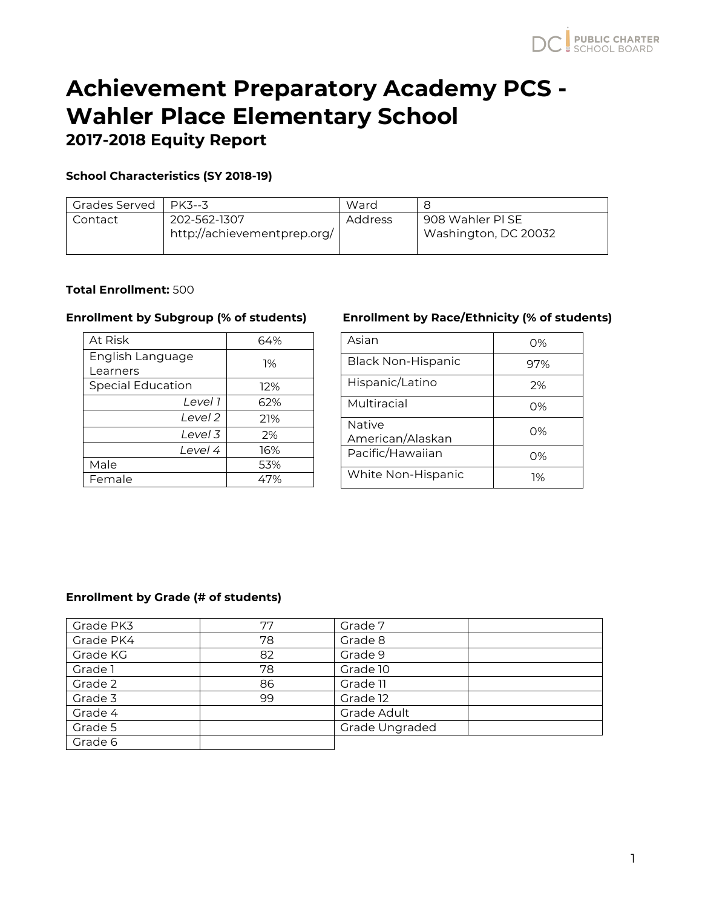## **School Characteristics (SY 2018-19)**

| Grades Served | PK3--3                                      | Ward    |                                          |
|---------------|---------------------------------------------|---------|------------------------------------------|
| Contact       | 202-562-1307<br>http://achievementprep.org/ | Address | 908 Wahler PI SE<br>Washington, DC 20032 |

## **Total Enrollment:** 500

| At Risk                  | 64% |
|--------------------------|-----|
| English Language         | 1%  |
| Learners                 |     |
| <b>Special Education</b> | 12% |
| Level 1                  | 62% |
| Level 2                  | 21% |
| Level 3                  | 2%  |
| Level 4                  | 16% |
| Male                     | 53% |
| Female                   | 47% |

## **Enrollment by Subgroup (% of students) Enrollment by Race/Ethnicity (% of students)**

| Asian                      | $O\%$ |
|----------------------------|-------|
| <b>Black Non-Hispanic</b>  | 97%   |
| Hispanic/Latino            | 2%    |
| Multiracial                | O%    |
| Native<br>American/Alaskan | O%    |
| Pacific/Hawaiian           | O%    |
| White Non-Hispanic         | 1%    |

### **Enrollment by Grade (# of students)**

| Grade PK3 | 77 | Grade 7        |
|-----------|----|----------------|
| Grade PK4 | 78 | Grade 8        |
| Grade KG  | 82 | Grade 9        |
| Grade 1   | 78 | Grade 10       |
| Grade 2   | 86 | Grade 11       |
| Grade 3   | 99 | Grade 12       |
| Grade 4   |    | Grade Adult    |
| Grade 5   |    | Grade Ungraded |
| Grade 6   |    |                |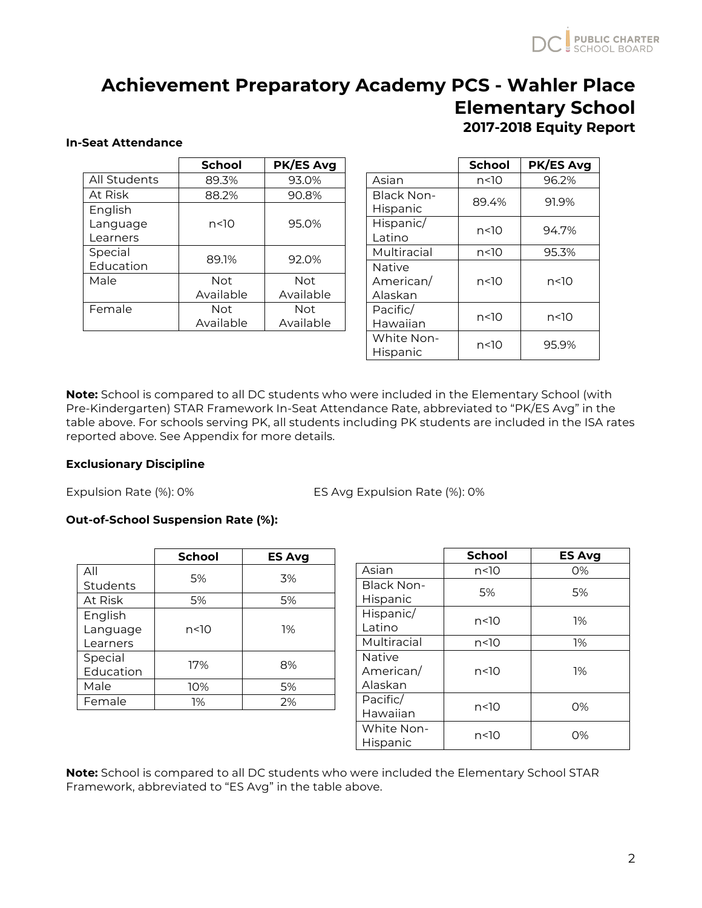### **In-Seat Attendance**

| <b>School</b> | <b>PK/ES Avg</b> |  |
|---------------|------------------|--|
| 89.3%         | 93.0%            |  |
| 88.2%         | 90.8%            |  |
|               |                  |  |
| n<10          | 95.0%            |  |
|               |                  |  |
|               | 92.0%            |  |
|               |                  |  |
| Not           | Not              |  |
| Available     | Available        |  |
| <b>Not</b>    | Not              |  |
| Available     | Available        |  |
|               | 89.1%            |  |

|                                | <b>School</b> | <b>PK/ES Avg</b> |
|--------------------------------|---------------|------------------|
| Asian                          | n<10          | 96.2%            |
| Black Non-<br>Hispanic         | 89.4%         | 91.9%            |
| Hispanic/<br>l atino           | n<10          | 94.7%            |
| Multiracial                    | n<10          | 95.3%            |
| Native<br>American/<br>Alaskan | n<10          | n<10             |
| Pacific/<br>Hawaiian           | n<10          | n<10             |
| White Non-<br>Hispanic         | n<10          | 95.9%            |

**Note:** School is compared to all DC students who were included in the Elementary School (with Pre-Kindergarten) STAR Framework In-Seat Attendance Rate, abbreviated to "PK/ES Avg" in the table above. For schools serving PK, all students including PK students are included in the ISA rates reported above. See Appendix for more details.

## **Exclusionary Discipline**

Expulsion Rate (%): 0% ES Avg Expulsion Rate (%): 0%

## **Out-of-School Suspension Rate (%):**

|                      | <b>School</b> | <b>ES Avg</b> |
|----------------------|---------------|---------------|
| All                  | 5%            | 3%            |
| Students             |               |               |
| At Risk              | 5%            | 5%            |
| English<br>Language  | n<10          | 1%            |
| Learners             |               |               |
| Special<br>Education | 17%           | 8%            |
| Male                 | 10%           | 5%            |
| Female               | 1%            | 2%            |

|                                       | <b>School</b> | <b>ES Avg</b> |
|---------------------------------------|---------------|---------------|
| Asian                                 | n<10          | 0%            |
| <b>Black Non-</b><br>Hispanic         | 5%            | 5%            |
| Hispanic/<br>Latino                   | n<10          | 1%            |
| Multiracial                           | n<10          | 1%            |
| <b>Native</b><br>American/<br>Alaskan | n<10          | 1%            |
| Pacific/<br>Hawaiian                  | n<10          | $O\%$         |
| White Non-<br>Hispanic                | n<10          | $O\%$         |

**Note:** School is compared to all DC students who were included the Elementary School STAR Framework, abbreviated to "ES Avg" in the table above.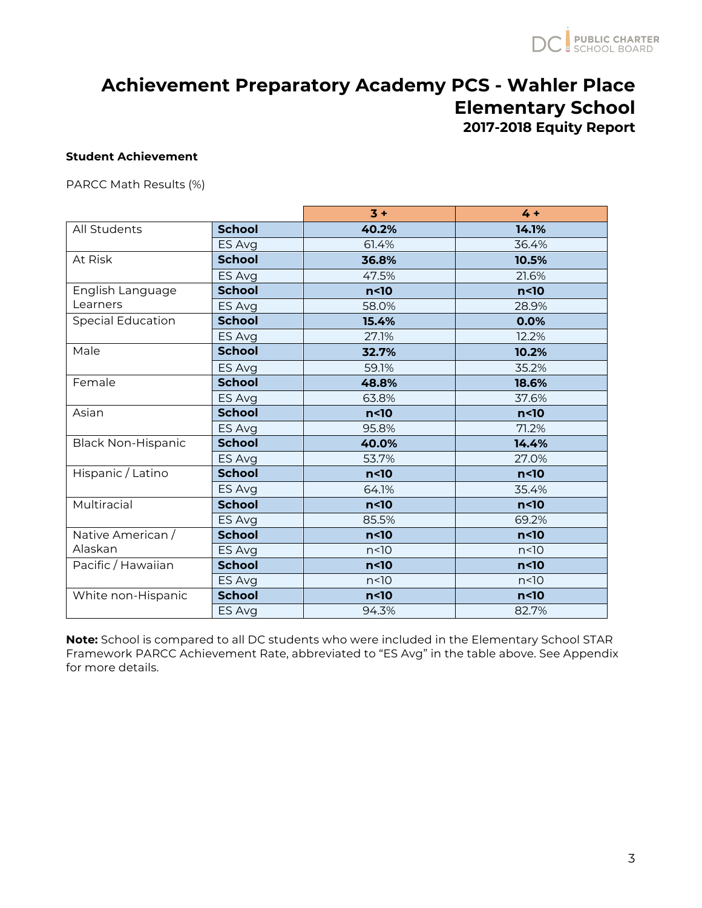## **Student Achievement**

PARCC Math Results (%)

|                           |               | $3 +$           | $4 +$           |
|---------------------------|---------------|-----------------|-----------------|
| All Students              | <b>School</b> | 40.2%           | 14.1%           |
|                           | ES Avg        | 61.4%           | 36.4%           |
| At Risk                   | <b>School</b> | 36.8%           | 10.5%           |
|                           | ES Avg        | 47.5%           | 21.6%           |
| English Language          | <b>School</b> | n<10            | $n<$ 10         |
| Learners                  | ES Avg        | 58.0%           | 28.9%           |
| <b>Special Education</b>  | <b>School</b> | 15.4%           | 0.0%            |
|                           | ES Avg        | 27.1%           | 12.2%           |
| Male                      | <b>School</b> | 32.7%           | 10.2%           |
|                           | ES Avg        | 59.1%           | 35.2%           |
| Female                    | <b>School</b> | 48.8%           | 18.6%           |
|                           | ES Avg        | 63.8%           | 37.6%           |
| Asian                     | <b>School</b> | n<10            | $n<$ 10         |
|                           | ES Avg        | 95.8%           | 71.2%           |
| <b>Black Non-Hispanic</b> | <b>School</b> | 40.0%           | 14.4%           |
|                           | ES Avg        | 53.7%           | 27.0%           |
| Hispanic / Latino         | <b>School</b> | n<10            | n <sub>10</sub> |
|                           | ES Avg        | 64.1%           | 35.4%           |
| Multiracial               | <b>School</b> | n<10            | n<10            |
|                           | ES Avg        | 85.5%           | 69.2%           |
| Native American /         | <b>School</b> | $n<$ 10         | n <sub>10</sub> |
| Alaskan                   | ES Avg        | n<10            | n<10            |
| Pacific / Hawaiian        | <b>School</b> | n <sub>10</sub> | n <sub>10</sub> |
|                           | ES Avg        | n<10            | n<10            |
| White non-Hispanic        | <b>School</b> | n <sub>10</sub> | n <sub>10</sub> |
|                           | ES Avg        | 94.3%           | 82.7%           |

**Note:** School is compared to all DC students who were included in the Elementary School STAR Framework PARCC Achievement Rate, abbreviated to "ES Avg" in the table above. See Appendix for more details.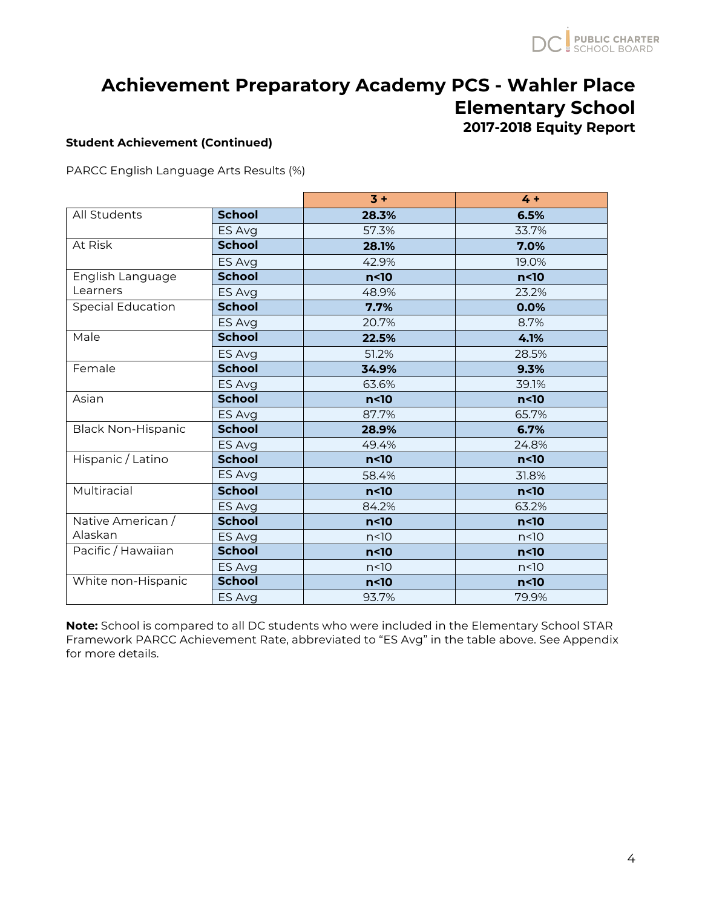### **Student Achievement (Continued)**

PARCC English Language Arts Results (%)

|                           |               | $3 +$           | $4 +$           |
|---------------------------|---------------|-----------------|-----------------|
| All Students              | <b>School</b> | 28.3%           | 6.5%            |
|                           | ES Avg        | 57.3%           | 33.7%           |
| At Risk                   | <b>School</b> | 28.1%           | 7.0%            |
|                           | ES Avg        | 42.9%           | 19.0%           |
| English Language          | <b>School</b> | n <sub>10</sub> | n <sub>10</sub> |
| Learners                  | ES Avg        | 48.9%           | 23.2%           |
| <b>Special Education</b>  | <b>School</b> | 7.7%            | 0.0%            |
|                           | ES Avg        | 20.7%           | 8.7%            |
| Male                      | <b>School</b> | 22.5%           | 4.1%            |
|                           | ES Avg        | 51.2%           | 28.5%           |
| Female                    | <b>School</b> | 34.9%           | 9.3%            |
|                           | ES Avg        | 63.6%           | 39.1%           |
| Asian                     | <b>School</b> | n<10            | n<10            |
|                           | ES Avg        | 87.7%           | 65.7%           |
| <b>Black Non-Hispanic</b> | <b>School</b> | 28.9%           | 6.7%            |
|                           | ES Avg        | 49.4%           | 24.8%           |
| Hispanic / Latino         | <b>School</b> | n<10            | n<10            |
|                           | ES Avg        | 58.4%           | 31.8%           |
| Multiracial               | <b>School</b> | n<10            | n <sub>10</sub> |
|                           | ES Avg        | 84.2%           | 63.2%           |
| Native American /         | <b>School</b> | n<10            | n<10            |
| Alaskan                   | ES Avg        | n<10            | n<10            |
| Pacific / Hawaiian        | <b>School</b> | n<10            | $n<$ 10         |
|                           | ES Avg        | n<10            | n<10            |
| White non-Hispanic        | <b>School</b> | $n<$ 10         | $n<$ 10         |
|                           | ES Avg        | 93.7%           | 79.9%           |

**Note:** School is compared to all DC students who were included in the Elementary School STAR Framework PARCC Achievement Rate, abbreviated to "ES Avg" in the table above. See Appendix for more details.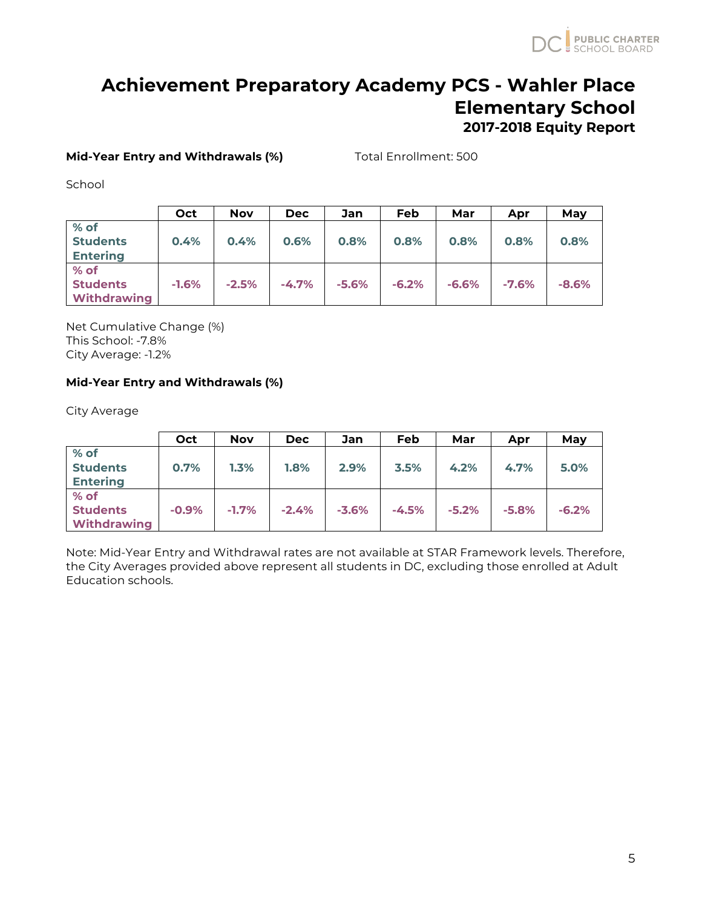## **Mid-Year Entry and Withdrawals (%)** Total Enrollment: 500

School

|                    | Oct     | <b>Nov</b> | <b>Dec</b> | Jan     | Feb     | Mar     | Apr     | May     |
|--------------------|---------|------------|------------|---------|---------|---------|---------|---------|
| $%$ of             |         |            |            |         |         |         |         |         |
| <b>Students</b>    | 0.4%    | 0.4%       | 0.6%       | 0.8%    | 0.8%    | 0.8%    | 0.8%    | 0.8%    |
| <b>Entering</b>    |         |            |            |         |         |         |         |         |
| % of               |         |            |            |         |         |         |         |         |
| <b>Students</b>    | $-1.6%$ | $-2.5%$    | $-4.7%$    | $-5.6%$ | $-6.2%$ | $-6.6%$ | $-7.6%$ | $-8.6%$ |
| <b>Withdrawing</b> |         |            |            |         |         |         |         |         |

Net Cumulative Change (%) This School: -7.8% City Average: -1.2%

## **Mid-Year Entry and Withdrawals (%)**

City Average

|                                               | Oct     | <b>Nov</b> | <b>Dec</b> | Jan     | Feb     | Mar     | Apr     | May     |
|-----------------------------------------------|---------|------------|------------|---------|---------|---------|---------|---------|
| % of<br><b>Students</b><br><b>Entering</b>    | 0.7%    | 1.3%       | 1.8%       | 2.9%    | 3.5%    | 4.2%    | 4.7%    | 5.0%    |
| % of<br><b>Students</b><br><b>Withdrawing</b> | $-0.9%$ | $-1.7%$    | $-2.4%$    | $-3.6%$ | $-4.5%$ | $-5.2%$ | $-5.8%$ | $-6.2%$ |

Note: Mid-Year Entry and Withdrawal rates are not available at STAR Framework levels. Therefore, the City Averages provided above represent all students in DC, excluding those enrolled at Adult Education schools.